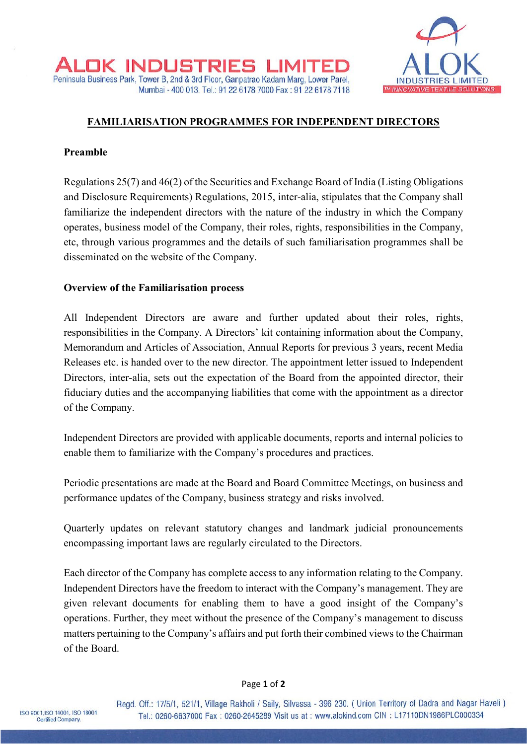

## **FAMILIARISATION PROGRAMMES FOR INDEPENDENT DIRECTORS**

## **Preamble**

Regulations 25(7) and 46(2) of the Securities and Exchange Board of India (Listing Obligations and Disclosure Requirements) Regulations, 2015, inter-alia, stipulates that the Company shall familiarize the independent directors with the nature of the industry in which the Company operates, business model of the Company, their roles, rights, responsibilities in the Company, etc, through various programmes and the details of such familiarisation programmes shall be disseminated on the website of the Company.

### **Overview of the Familiarisation process**

All Independent Directors are aware and further updated about their roles, rights, responsibilities in the Company. A Directors' kit containing information about the Company, Memorandum and Articles of Association, Annual Reports for previous 3 years, recent Media Releases etc. is handed over to the new director. The appointment letter issued to Independent Directors, inter-alia, sets out the expectation of the Board from the appointed director, their fiduciary duties and the accompanying liabilities that come with the appointment as a director of the Company.

Independent Directors are provided with applicable documents, reports and internal policies to enable them to familiarize with the Company's procedures and practices.

Periodic presentations are made at the Board and Board Committee Meetings, on business and performance updates of the Company, business strategy and risks involved.

Quarterly updates on relevant statutory changes and landmark judicial pronouncements encompassing important laws are regularly circulated to the Directors.

Each director of the Company has complete access to any information relating to the Company. Independent Directors have the freedom to interact with the Company's management. They are given relevant documents for enabling them to have a good insight of the Company's operations. Further, they meet without the presence of the Company's management to discuss matters pertaining to the Company's affairs and put forth their combined views to the Chairman of the Board.

#### Page **1** of **2**

Regd. Off.: 17/5/1, 521/1, Village Rakholi / Saily, Silvassa - 396 230. ( Union Territory of Dadra and Nagar Haveli ) Tel.: 0260-6637000 Fax: 0260-2645289 Visit us at: www.alokind.com CIN: L17110DN1986PLC000334